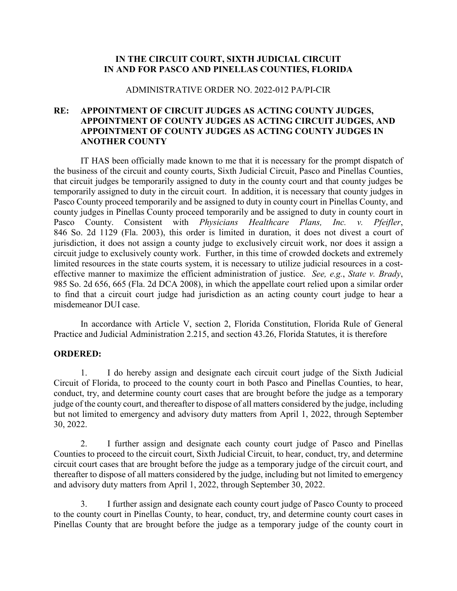### **IN THE CIRCUIT COURT, SIXTH JUDICIAL CIRCUIT IN AND FOR PASCO AND PINELLAS COUNTIES, FLORIDA**

#### ADMINISTRATIVE ORDER NO. 2022-012 PA/PI-CIR

## **RE: APPOINTMENT OF CIRCUIT JUDGES AS ACTING COUNTY JUDGES, APPOINTMENT OF COUNTY JUDGES AS ACTING CIRCUIT JUDGES, AND APPOINTMENT OF COUNTY JUDGES AS ACTING COUNTY JUDGES IN ANOTHER COUNTY**

IT HAS been officially made known to me that it is necessary for the prompt dispatch of the business of the circuit and county courts, Sixth Judicial Circuit, Pasco and Pinellas Counties, that circuit judges be temporarily assigned to duty in the county court and that county judges be temporarily assigned to duty in the circuit court. In addition, it is necessary that county judges in Pasco County proceed temporarily and be assigned to duty in county court in Pinellas County, and county judges in Pinellas County proceed temporarily and be assigned to duty in county court in Pasco County. Consistent with *Physicians Healthcare Plans, Inc. v. Pfeifler*, 846 So. 2d 1129 (Fla. 2003), this order is limited in duration, it does not divest a court of jurisdiction, it does not assign a county judge to exclusively circuit work, nor does it assign a circuit judge to exclusively county work. Further, in this time of crowded dockets and extremely limited resources in the state courts system, it is necessary to utilize judicial resources in a costeffective manner to maximize the efficient administration of justice. *See, e.g.*, *State v. Brady*, 985 So. 2d 656, 665 (Fla. 2d DCA 2008), in which the appellate court relied upon a similar order to find that a circuit court judge had jurisdiction as an acting county court judge to hear a misdemeanor DUI case.

In accordance with Article V, section 2, Florida Constitution, Florida Rule of General Practice and Judicial Administration 2.215, and section 43.26, Florida Statutes, it is therefore

#### **ORDERED:**

1. I do hereby assign and designate each circuit court judge of the Sixth Judicial Circuit of Florida, to proceed to the county court in both Pasco and Pinellas Counties, to hear, conduct, try, and determine county court cases that are brought before the judge as a temporary judge of the county court, and thereafter to dispose of all matters considered by the judge, including but not limited to emergency and advisory duty matters from April 1, 2022, through September 30, 2022.

2. I further assign and designate each county court judge of Pasco and Pinellas Counties to proceed to the circuit court, Sixth Judicial Circuit, to hear, conduct, try, and determine circuit court cases that are brought before the judge as a temporary judge of the circuit court, and thereafter to dispose of all matters considered by the judge, including but not limited to emergency and advisory duty matters from April 1, 2022, through September 30, 2022.

3. I further assign and designate each county court judge of Pasco County to proceed to the county court in Pinellas County, to hear, conduct, try, and determine county court cases in Pinellas County that are brought before the judge as a temporary judge of the county court in